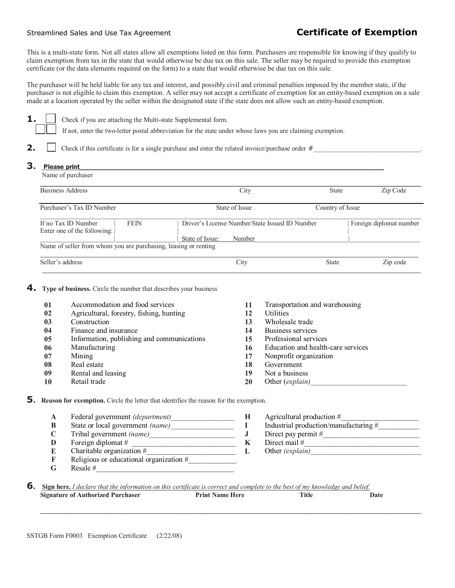# Streamlined Sales and Use Tax Agreement **Certificate of Exemption**

This is a multi-state form. Not all states allow all exemptions listed on this form. Purchasers are responsible for knowing if they qualify to claim exemption from tax in the state that would otherwise be due tax on this sale. The seller may be required to provide this exemption certificate (or the data elements required on the form) to a state that would otherwise be due tax on this sale.

The purchaser will be held liable for any tax and interest, and possibly civil and criminal penalties imposed by the member state, if the purchaser is not eligible to claim this exemption. A seller may not accept a certificate of exemption for an entity-based exemption on a sale made at a location operated by the seller within the designated state if the state does not allow such an entity-based exemption.

**1.** Check if you are attaching the Multi-state Supplemental form.

If not, enter the two-letter postal abbreviation for the state under whose laws you are claiming exemption.

**2.**  $\Box$  Check if this certificate is for a single purchase and enter the related invoice/purchase order #

## **3.** Please print Name of purchaser **\_\_\_\_\_\_\_\_\_\_\_\_\_\_\_\_\_\_\_\_\_\_\_\_\_\_\_\_\_\_\_\_\_\_\_\_\_\_\_\_\_\_\_\_\_\_\_\_\_\_\_\_\_\_\_\_\_\_\_\_\_\_\_\_\_\_\_\_\_\_\_\_\_\_\_\_\_\_\_\_\_\_\_\_\_\_\_\_\_\_\_\_\_\_\_\_\_\_\_\_\_\_\_\_\_\_\_\_\_\_\_\_\_\_**  Business Address **City** State **City** State **Zip Code** Purchaser's Tax ID Number State of Issue Country of Issue Country of Issue If no Tax ID Number | FEIN | Driverís License Number/State Issued ID Number | Foreign diplomat number Enter one of the following:  $\Box$  State of Issue: Number Name of seller from whom you are purchasing, leasing or renting  $\_$  , and the set of the set of the set of the set of the set of the set of the set of the set of the set of the set of the set of the set of the set of the set of the set of the set of the set of the set of the set of th Seller's address  $City$  State Zip code

\_\_\_\_\_\_\_\_\_\_\_\_\_\_\_\_\_\_\_\_\_\_\_\_\_\_\_\_\_\_\_\_\_\_\_\_\_\_\_\_\_\_\_\_\_\_\_\_\_\_\_\_\_\_\_\_\_\_\_\_\_\_\_\_\_\_\_\_\_\_\_\_\_\_\_\_\_\_\_\_\_\_\_\_\_\_\_\_\_

## **4. Type of business.** Circle the number that describes your business

| 01 | Accommodation and food services            | 11 | Transportation and warehousing     |
|----|--------------------------------------------|----|------------------------------------|
| 02 | Agricultural, forestry, fishing, hunting   | 12 | <b>Utilities</b>                   |
| 03 | Construction                               | 13 | Wholesale trade                    |
| 04 | Finance and insurance                      | 14 | Business services                  |
| 05 | Information, publishing and communications | 15 | Professional services              |
| 06 | Manufacturing                              | 16 | Education and health-care services |
| 07 | Mining                                     | 17 | Nonprofit organization             |
| 08 | Real estate                                | 18 | Government                         |
| 09 | Rental and leasing                         | 19 | Not a business                     |
| 10 | Retail trade                               | 20 | Other (explain)                    |

## **5. Reason for exemption.** Circle the letter that identifies the reason for the exemption.

- **A** Federal government *(department)* **H** Agricultural production #<br> **B** State or local government *(name)* I I Industrial production/manufacturing # **B** State or local government *(name)* **I** Industrial production/manufacturing Tribal government *(name)* **J** Direct pay permit # **C** Tribal government *(name)* **J D** Foreign diplomat # \_\_\_\_\_\_\_\_\_\_\_\_\_\_\_\_\_\_\_\_\_\_\_\_\_\_\_\_ **K** Direct mail #\_\_\_\_\_\_\_\_\_\_\_\_\_\_\_\_\_\_\_\_\_\_\_\_\_\_\_\_\_\_\_ **E** Charitable organization #  $L$  Other *(explain)*
- **F** Religious or educational organization  $#$
- $\mathbf{G}$  **Resale #**

**6.** Sign here. *I declare that the information on this certificate is correct and complete to the best of my knowledge and belief.<br>Signature of Authorized Purchaser Print Name Here Title I* **Signature of Authorized Purchaser 2008 Control Print Name Here 2008 Title 2008 Print Name Here** 2008 2014